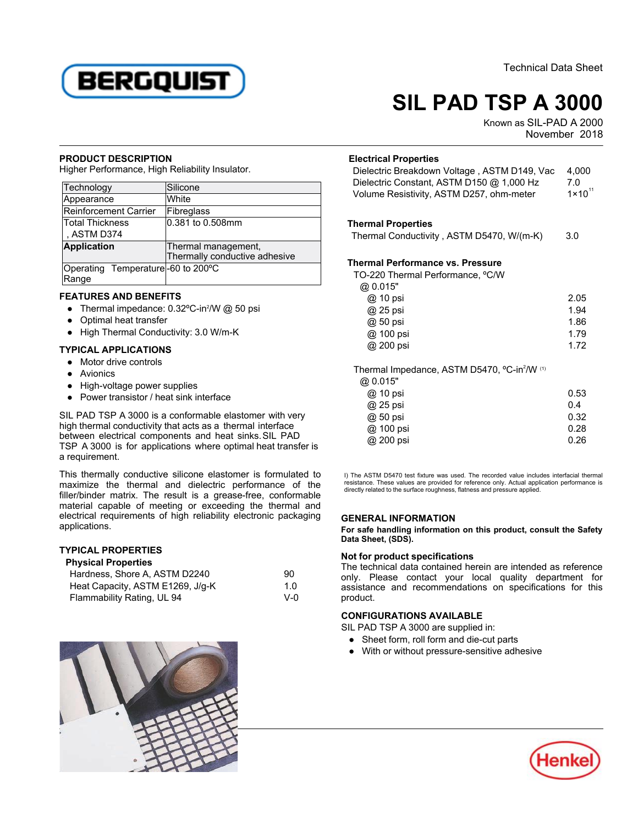

# **SIL PAD TSP A 3000**

Known as SIL-PAD A 2000 November 2018

#### **PRODUCT DESCRIPTION**

Higher Performance, High Reliability Insulator.

| Technology                        | Silicone                      |
|-----------------------------------|-------------------------------|
| Appearance                        | White                         |
| Reinforcement Carrier             | Fibreglass                    |
| Total Thickness                   | 0.381 to 0.508mm              |
| , ASTM D374                       |                               |
| <b>Application</b>                | Thermal management,           |
|                                   | Thermally conductive adhesive |
| Operating Temperature-60 to 200°C |                               |
| Range                             |                               |

## **FEATURES AND BENEFITS**

- 11 Julie 1 and all the control of the Christ of the Thermal impedance: 0.32ºC-in2MM @ 50 psi
- Optimal heat transfer
- High Thermal Conductivity: 3.0 W/m-K

#### **TYPICAL APPLICATIONS**

- Motor drive controls
- Avionics
- High-voltage power supplies
- Power transistor / heat sink interface

SIL PAD TSP A 3000 is a conformable elastomer with very bie i AD TOT A 5000 is a comomiable clasionici with w<br>high thermal conductivity that acts as a thermal interface between electrical components and heat sinks.SIL PAD TSP A 3000 is for applications where optimal heat transfer is a requirement.

This thermally conductive silicone elastomer is formulated to maximize the thermal and dielectric performance of the filler/binder matrix. The result is a grease-free, conformable micromatrich matrix. The result is a grease free, combinance<br>material capable of meeting or exceeding the thermal and electrical requirements of high reliability electronic packaging applications.

## **TYPICAL PROPERTIES Physical Properties**

| <b>Physical Properties</b>       |              |  |
|----------------------------------|--------------|--|
| Hardness, Shore A. ASTM D2240    | 90           |  |
| Heat Capacity, ASTM E1269, J/g-K | 1.0          |  |
| Flammability Rating, UL 94       | $V - \Omega$ |  |



| <b>Electrical Properties</b><br>Dielectric Breakdown Voltage, ASTM D149, Vac<br>Dielectric Constant, ASTM D150 @ 1,000 Hz<br>Volume Resistivity, ASTM D257, ohm-meter | 4,000<br>7.0<br>$1 \times 10^{11}$ |
|-----------------------------------------------------------------------------------------------------------------------------------------------------------------------|------------------------------------|
| <b>Thermal Properties</b>                                                                                                                                             |                                    |
| Thermal Conductivity, ASTM D5470, W/(m-K)                                                                                                                             | 3.0                                |
| <b>Thermal Performance vs. Pressure</b>                                                                                                                               |                                    |
| TO-220 Thermal Performance, °C/W                                                                                                                                      |                                    |
| @ 0.015"                                                                                                                                                              |                                    |
| @ 10 psi                                                                                                                                                              | 2.05                               |
| @ 25 psi                                                                                                                                                              | 1.94                               |
| @ 50 psi                                                                                                                                                              | 1.86                               |
| @ 100 psi                                                                                                                                                             | 1.79                               |
| @ 200 psi                                                                                                                                                             | 1.72                               |
| Thermal Impedance, ASTM D5470, °C-in <sup>2</sup> /W (1)<br>@ 0.015"                                                                                                  |                                    |
| @ 10 psi                                                                                                                                                              | 0.53                               |
| @ 25 psi                                                                                                                                                              | 0.4                                |
| @ 50 psi                                                                                                                                                              | 0.32                               |
| @ 100 psi                                                                                                                                                             | 0.28                               |
| @ 200 psi                                                                                                                                                             | 0.26                               |
| The ASTM D5470 test fixture was used. The recorded value includes interfacial therr                                                                                   |                                    |

I) The ASTM D5470 test fixture was used. The recorded value includes interfacial thermal resistance. These values are provided for reference only. Actual application performance is directly related to the surface roughness, flatness and pressure applied.

## **GENERAL INFORMATION**

**For safe handling information on this product, consult the Safety Data Sheet, (SDS).**

## **Not for product specifications**

The technical data contained herein are intended as reference only. Please contact your local quality department for assistance and recommendations on specifications for this assistam<br>product.

## **CONFIGURATIONS AVAILABLE**

SIL PAD TSP A 3000 are supplied in:

- Sheet form, roll form and die-cut parts
- With or without pressure-sensitive adhesive